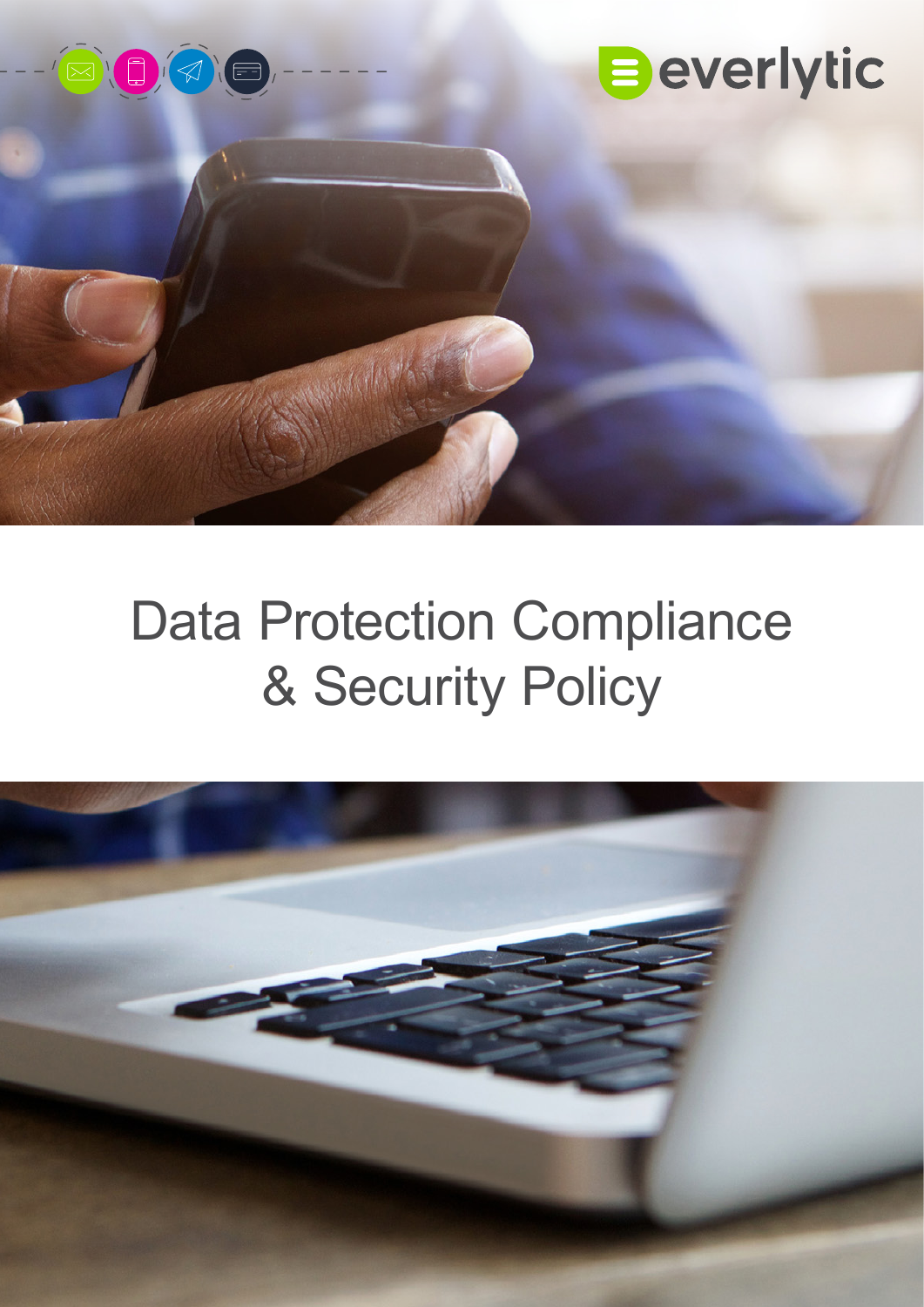

# Data Protection Compliance & Security Policy

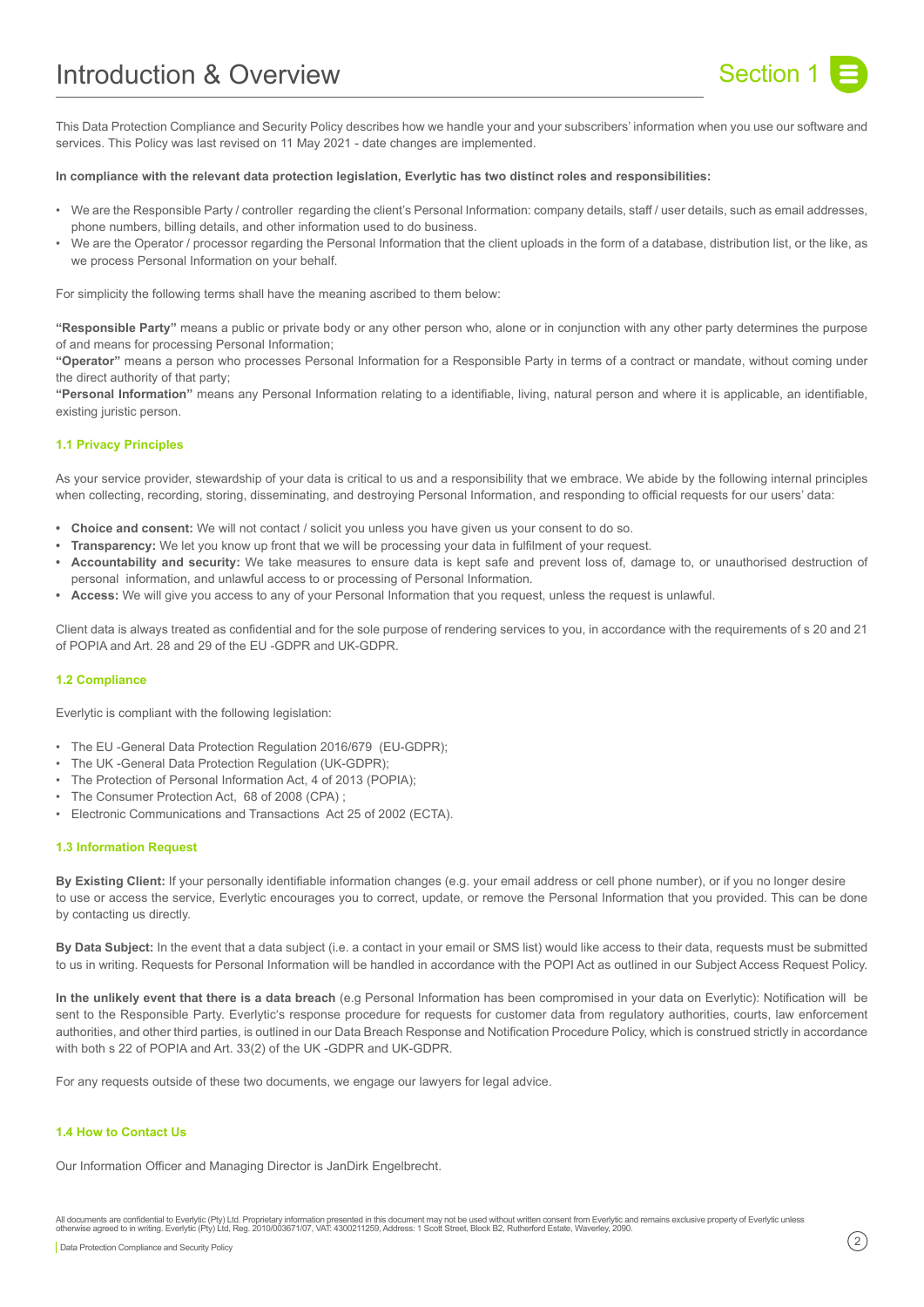# Introduction & Overview Network Contract Contract Section 1



This Data Protection Compliance and Security Policy describes how we handle your and your subscribers' information when you use our software and services. This Policy was last revised on 11 May 2021 - date changes are implemented.

#### **In compliance with the relevant data protection legislation, Everlytic has two distinct roles and responsibilities:**

- We are the Responsible Party / controller regarding the client's Personal Information: company details, staff / user details, such as email addresses, phone numbers, billing details, and other information used to do business.
- We are the Operator / processor regarding the Personal Information that the client uploads in the form of a database, distribution list, or the like, as we process Personal Information on your behalf.

For simplicity the following terms shall have the meaning ascribed to them below:

**"Responsible Party"** means a public or private body or any other person who, alone or in conjunction with any other party determines the purpose of and means for processing Personal Information;

**"Operator"** means a person who processes Personal Information for a Responsible Party in terms of a contract or mandate, without coming under the direct authority of that party;

**"Personal Information"** means any Personal Information relating to a identifiable, living, natural person and where it is applicable, an identifiable, existing juristic person.

# **1.1 Privacy Principles**

As your service provider, stewardship of your data is critical to us and a responsibility that we embrace. We abide by the following internal principles when collecting, recording, storing, disseminating, and destroying Personal Information, and responding to official requests for our users' data:

- **• Choice and consent:** We will not contact / solicit you unless you have given us your consent to do so.
- **• Transparency:** We let you know up front that we will be processing your data in fulfilment of your request.
- **• Accountability and security:** We take measures to ensure data is kept safe and prevent loss of, damage to, or unauthorised destruction of personal information, and unlawful access to or processing of Personal Information.
- **• Access:** We will give you access to any of your Personal Information that you request, unless the request is unlawful.

Client data is always treated as confidential and for the sole purpose of rendering services to you, in accordance with the requirements of s 20 and 21 of POPIA and Art. 28 and 29 of the EU -GDPR and UK-GDPR.

#### **1.2 Compliance**

Everlytic is compliant with the following legislation:

- The EU -General Data Protection Regulation 2016/679 (EU-GDPR);
- The UK -General Data Protection Regulation (UK-GDPR);
- The Protection of Personal Information Act, 4 of 2013 (POPIA);
- The Consumer Protection Act, 68 of 2008 (CPA);
- Electronic Communications and Transactions Act 25 of 2002 (ECTA).

#### **1.3 Information Request**

**By Existing Client:** If your personally identifiable information changes (e.g. your email address or cell phone number), or if you no longer desire to use or access the service, Everlytic encourages you to correct, update, or remove the Personal Information that you provided. This can be done by contacting us directly.

**By Data Subject:** In the event that a data subject (i.e. a contact in your email or SMS list) would like access to their data, requests must be submitted to us in writing. Requests for Personal Information will be handled in accordance with the POPI Act as outlined in our Subject Access Request Policy.

**In the unlikely event that there is a data breach** (e.g Personal Information has been compromised in your data on Everlytic): Notification will be sent to the Responsible Party. Everlytic's response procedure for requests for customer data from requlatory authorities, courts, law enforcement authorities, and other third parties, is outlined in our Data Breach Response and Notification Procedure Policy, which is construed strictly in accordance with both s 22 of POPIA and Art. 33(2) of the UK -GDPR and UK-GDPR.

For any requests outside of these two documents, we engage our lawyers for legal advice.

# **1.4 How to Contact Us**

Our Information Officer and Managing Director is JanDirk Engelbrecht.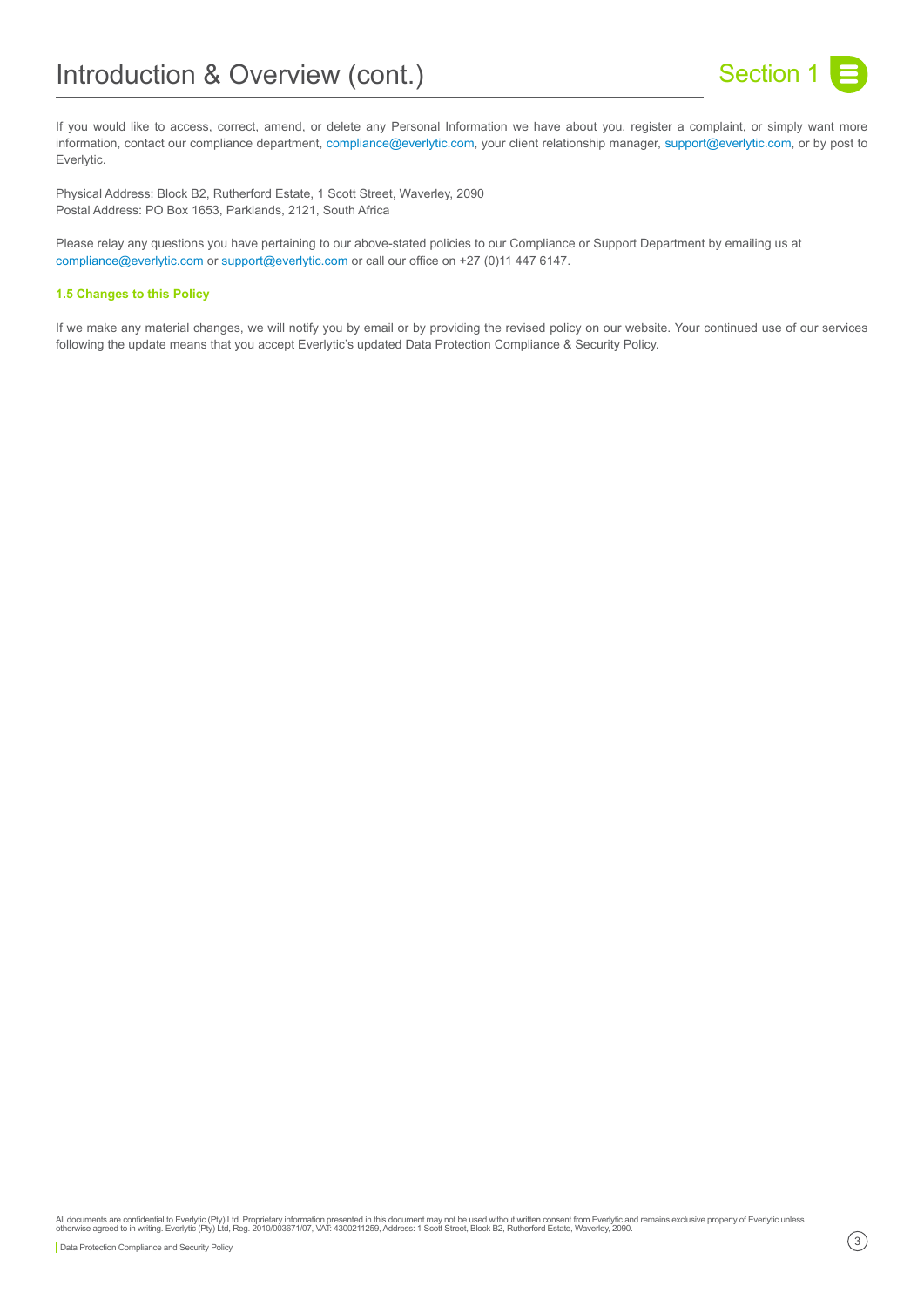

If you would like to access, correct, amend, or delete any Personal Information we have about you, register a complaint, or simply want more information, contact our compliance department, [compliance@everlytic.com,](mailto:compliance%40everlytic.com?subject=) your client relationship manager, [support@everlytic.com](mailto:support%40everlytic.com?subject=), or by post to Everlytic.

Physical Address: Block B2, Rutherford Estate, 1 Scott Street, Waverley, 2090 Postal Address: PO Box 1653, Parklands, 2121, South Africa

Please relay any questions you have pertaining to our above-stated policies to our Compliance or Support Department by emailing us at [compliance@everlytic.com](mailto:compliance%40everlytic.com?subject=) or [support@everlytic.com](mailto:support%40everlytic.com%20?subject=) or call our office on +27 (0)11 447 6147.

# **1.5 Changes to this Policy**

If we make any material changes, we will notify you by email or by providing the revised policy on our website. Your continued use of our services following the update means that you accept Everlytic's updated Data Protection Compliance & Security Policy.

All documents are confidential to Everlytic (Pty) Ltd. Proprietary information presented in this document may not be used without written consent from Everlytic and remains exclusive property of Everlytic unless<br>otherwise Data Protection Compliance and Security Policy 3 and 2009 the control of the control of the control of the control of the control of the control of the control of the control of the control of the control of the control of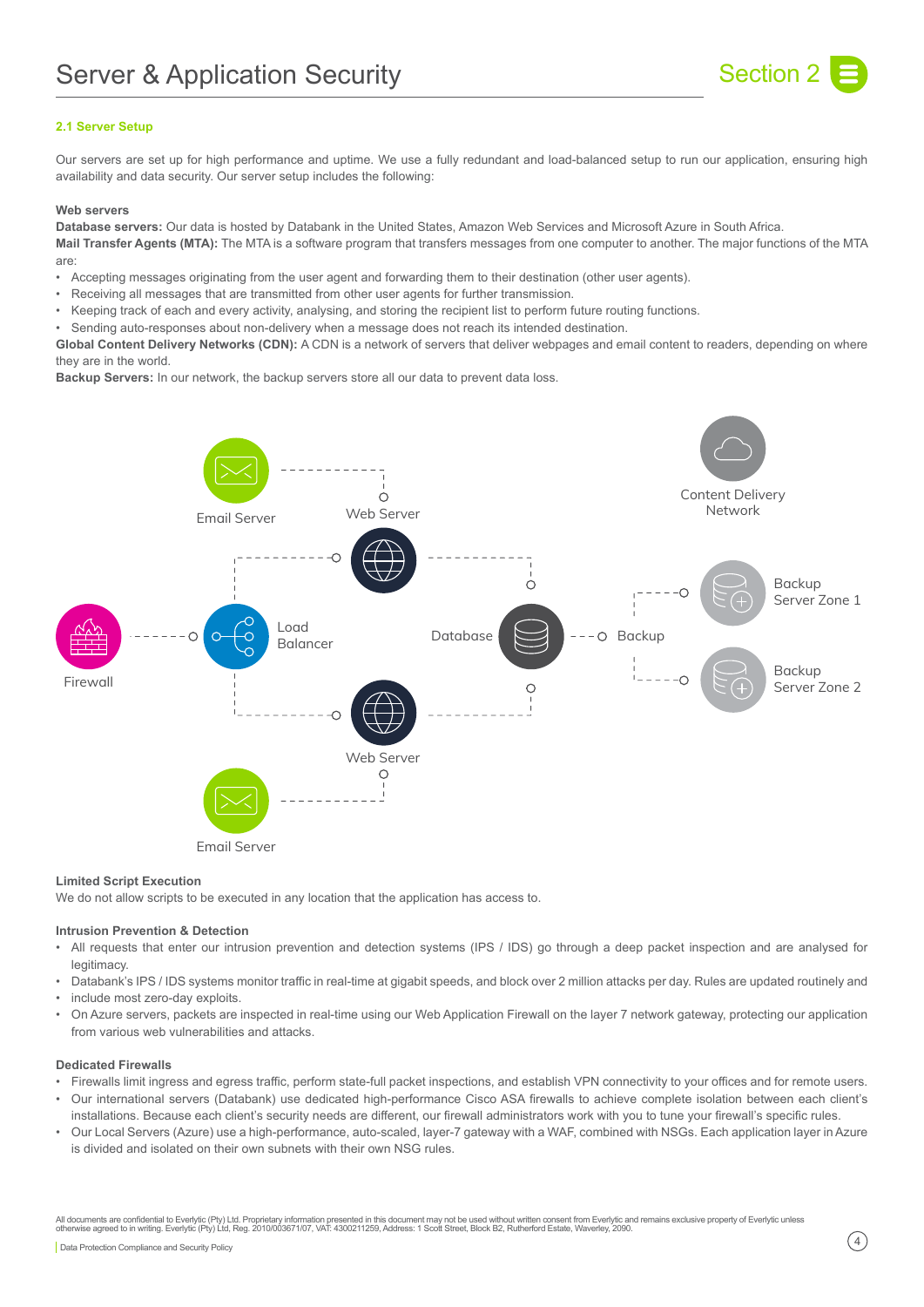

# **2.1 Server Setup**

Our servers are set up for high performance and uptime. We use a fully redundant and load-balanced setup to run our application, ensuring high availability and data security. Our server setup includes the following:

#### **Web servers**

**Database servers:** Our data is hosted by Databank in the United States, Amazon Web Services and Microsoft Azure in South Africa. **Mail Transfer Agents (MTA):** The MTA is a software program that transfers messages from one computer to another. The major functions of the MTA are:

- Accepting messages originating from the user agent and forwarding them to their destination (other user agents).
- Receiving all messages that are transmitted from other user agents for further transmission.
- Keeping track of each and every activity, analysing, and storing the recipient list to perform future routing functions.
- Sending auto-responses about non-delivery when a message does not reach its intended destination.

**Global Content Delivery Networks (CDN):** A CDN is a network of servers that deliver webpages and email content to readers, depending on where they are in the world.

**Backup Servers:** In our network, the backup servers store all our data to prevent data loss.



#### **Limited Script Execution**

We do not allow scripts to be executed in any location that the application has access to.

#### **Intrusion Prevention & Detection**

- All requests that enter our intrusion prevention and detection systems (IPS / IDS) go through a deep packet inspection and are analysed for legitimacy.
- Databank's IPS / IDS systems monitor traffic in real-time at gigabit speeds, and block over 2 million attacks per day. Rules are updated routinely and • include most zero-day exploits.
- On Azure servers, packets are inspected in real-time using our Web Application Firewall on the layer 7 network gateway, protecting our application from various web vulnerabilities and attacks.

# **Dedicated Firewalls**

- Firewalls limit ingress and egress traffic, perform state-full packet inspections, and establish VPN connectivity to your offices and for remote users. • Our international servers (Databank) use dedicated high-performance Cisco ASA firewalls to achieve complete isolation between each client's
- installations. Because each client's security needs are different, our firewall administrators work with you to tune your firewall's specific rules.
- Our Local Servers (Azure) use a high-performance, auto-scaled, layer-7 gateway with a WAF, combined with NSGs. Each application layer in Azure is divided and isolated on their own subnets with their own NSG rules.

All documents are confidential to Everlytic (Pty) Ltd. Proprietary information presented in this document may not be used without written consent from Everlytic and remains exclusive property of Everlytic unless<br>otherwise Data Protection Compliance and Security Policy (4)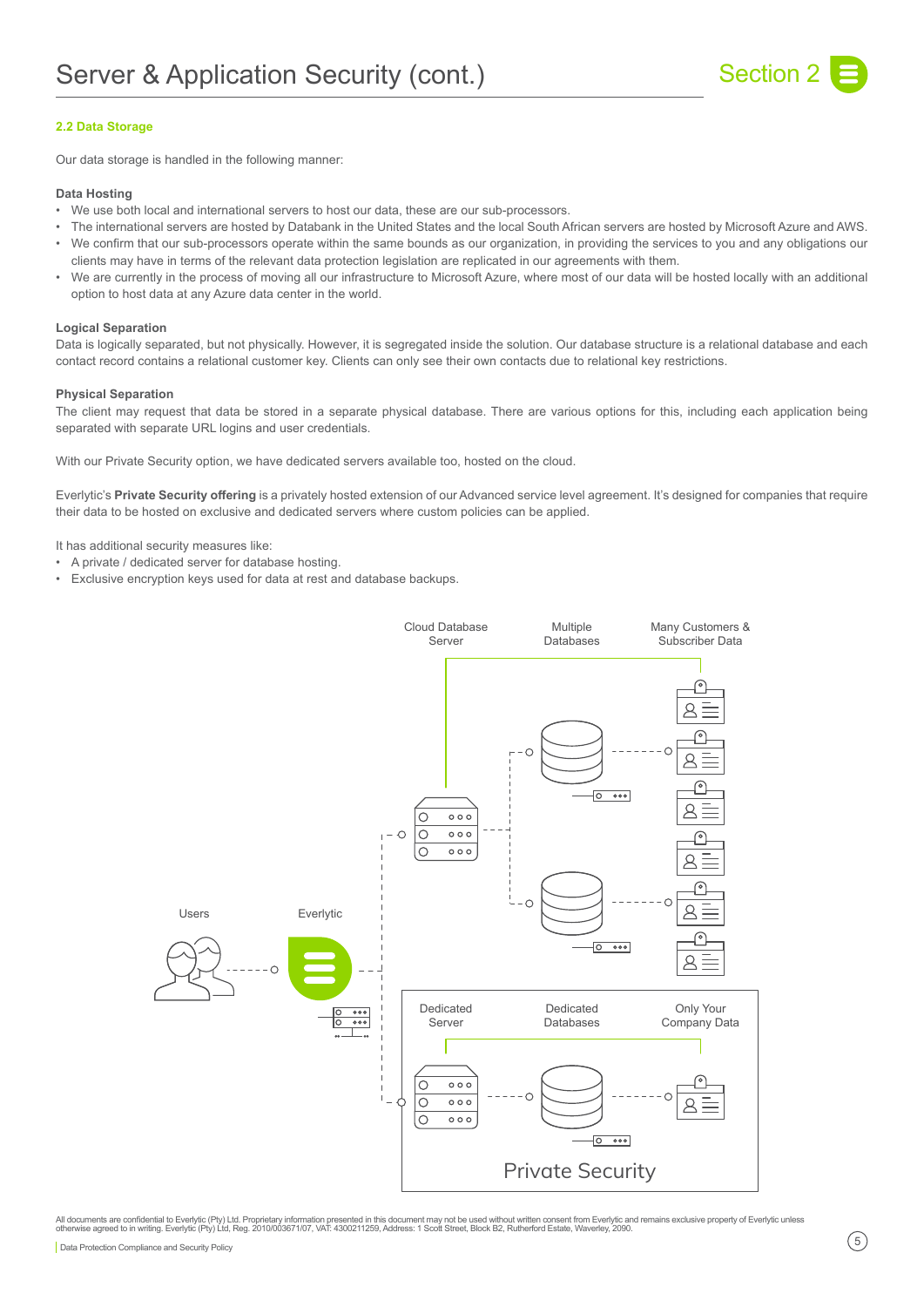

# **2.2 Data Storage**

Our data storage is handled in the following manner:

#### **Data Hosting**

- We use both local and international servers to host our data, these are our sub-processors.
- The international servers are hosted by Databank in the United States and the local South African servers are hosted by Microsoft Azure and AWS.
- We confirm that our sub-processors operate within the same bounds as our organization, in providing the services to you and any obligations our clients may have in terms of the relevant data protection legislation are replicated in our agreements with them.
- We are currently in the process of moving all our infrastructure to Microsoft Azure, where most of our data will be hosted locally with an additional option to host data at any Azure data center in the world.

#### **Logical Separation**

Data is logically separated, but not physically. However, it is segregated inside the solution. Our database structure is a relational database and each contact record contains a relational customer key. Clients can only see their own contacts due to relational key restrictions.

#### **Physical Separation**

The client may request that data be stored in a separate physical database. There are various options for this, including each application being separated with separate URL logins and user credentials.

With our Private Security option, we have dedicated servers available too, hosted on the cloud.

Everlytic's **Private Security offering** is a privately hosted extension of our Advanced service level agreement. It's designed for companies that require their data to be hosted on exclusive and dedicated servers where custom policies can be applied.

It has additional security measures like:

- A private / dedicated server for database hosting.
- Exclusive encryption keys used for data at rest and database backups.



All documents are confidential to Everlytic (Pty) Ltd. Proprietary information presented in this document may not be used without written consent from Everlytic and remains exclusive property of Everlytic unless<br>otherwise Data Protection Compliance and Security Policy **5**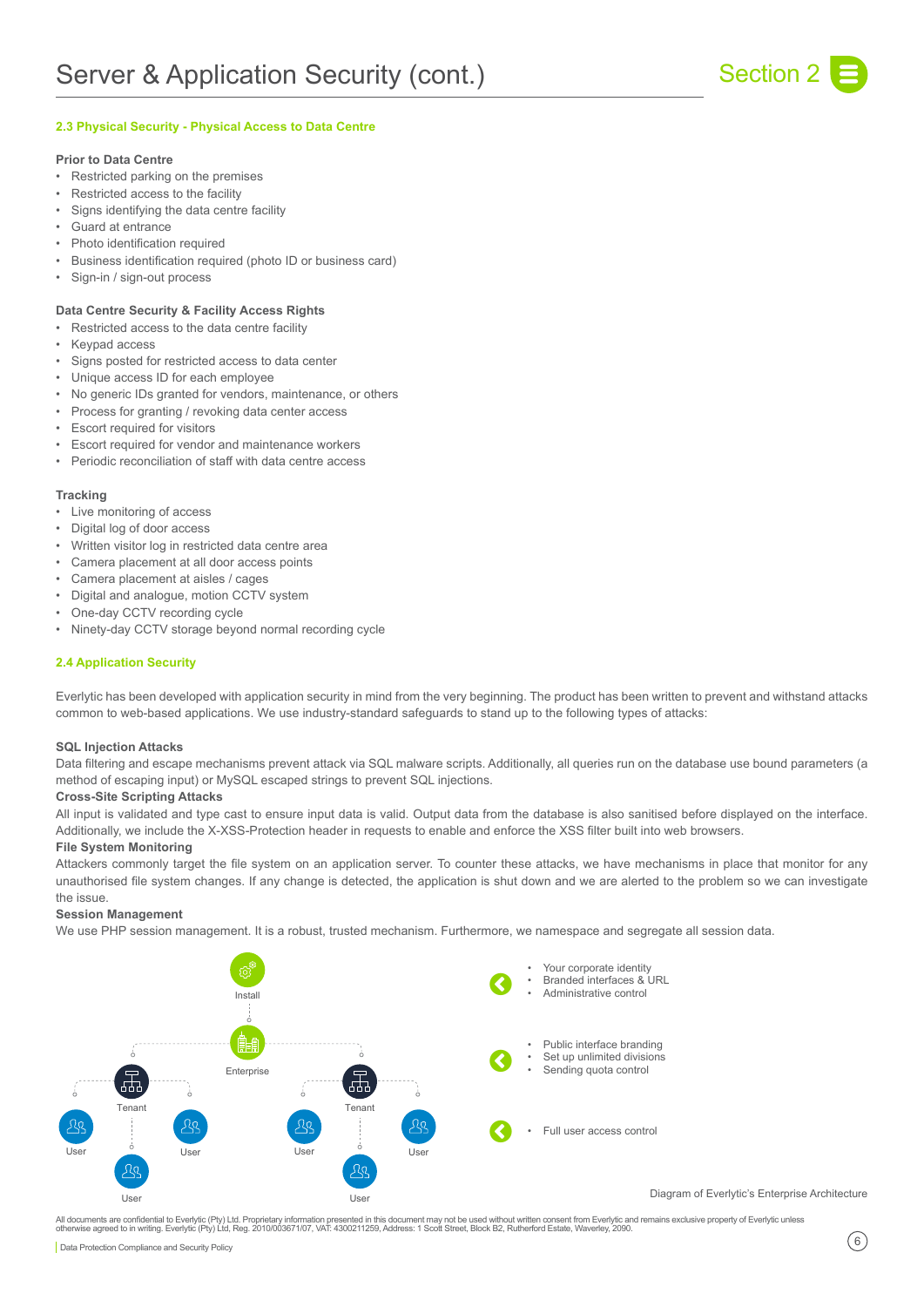

# **2.3 Physical Security - Physical Access to Data Centre**

# **Prior to Data Centre**

- Restricted parking on the premises
- Restricted access to the facility
- Signs identifying the data centre facility
- Guard at entrance
- Photo identification required
- Business identification required (photo ID or business card)
- Sign-in / sign-out process

#### **Data Centre Security & Facility Access Rights**

- Restricted access to the data centre facility
- Keypad access
- Signs posted for restricted access to data center
- Unique access ID for each employee
- No generic IDs granted for vendors, maintenance, or others
- Process for granting / revoking data center access
- Escort required for visitors
- Escort required for vendor and maintenance workers
- Periodic reconciliation of staff with data centre access

#### **Tracking**

- Live monitoring of access
- Digital log of door access
- Written visitor log in restricted data centre area
- Camera placement at all door access points
- Camera placement at aisles / cages
- Digital and analogue, motion CCTV system
- One-day CCTV recording cycle
- Ninety-day CCTV storage beyond normal recording cycle

# **2.4 Application Security**

Everlytic has been developed with application security in mind from the very beginning. The product has been written to prevent and withstand attacks common to web-based applications. We use industry-standard safeguards to stand up to the following types of attacks:

# **SQL Injection Attacks**

Data filtering and escape mechanisms prevent attack via SQL malware scripts. Additionally, all queries run on the database use bound parameters (a method of escaping input) or MySQL escaped strings to prevent SQL injections.

#### **Cross-Site Scripting Attacks**

All input is validated and type cast to ensure input data is valid. Output data from the database is also sanitised before displayed on the interface. Additionally, we include the X-XSS-Protection header in requests to enable and enforce the XSS filter built into web browsers.

#### **File System Monitoring**

Attackers commonly target the file system on an application server. To counter these attacks, we have mechanisms in place that monitor for any unauthorised file system changes. If any change is detected, the application is shut down and we are alerted to the problem so we can investigate the issue.

#### **Session Management**

We use PHP session management. It is a robust, trusted mechanism. Furthermore, we namespace and segregate all session data.



Diagram of Everlytic's Enterprise Architecture

All documents are confidential to Everlytic (Pty) Ltd. Proprietary information presented in this document may not be used without written consent from Everlytic and remains exclusive property of Everlytic unless<br>otherwise  $\boxed{$ Data Protection Compliance and Security Policy  $\boxed{6}$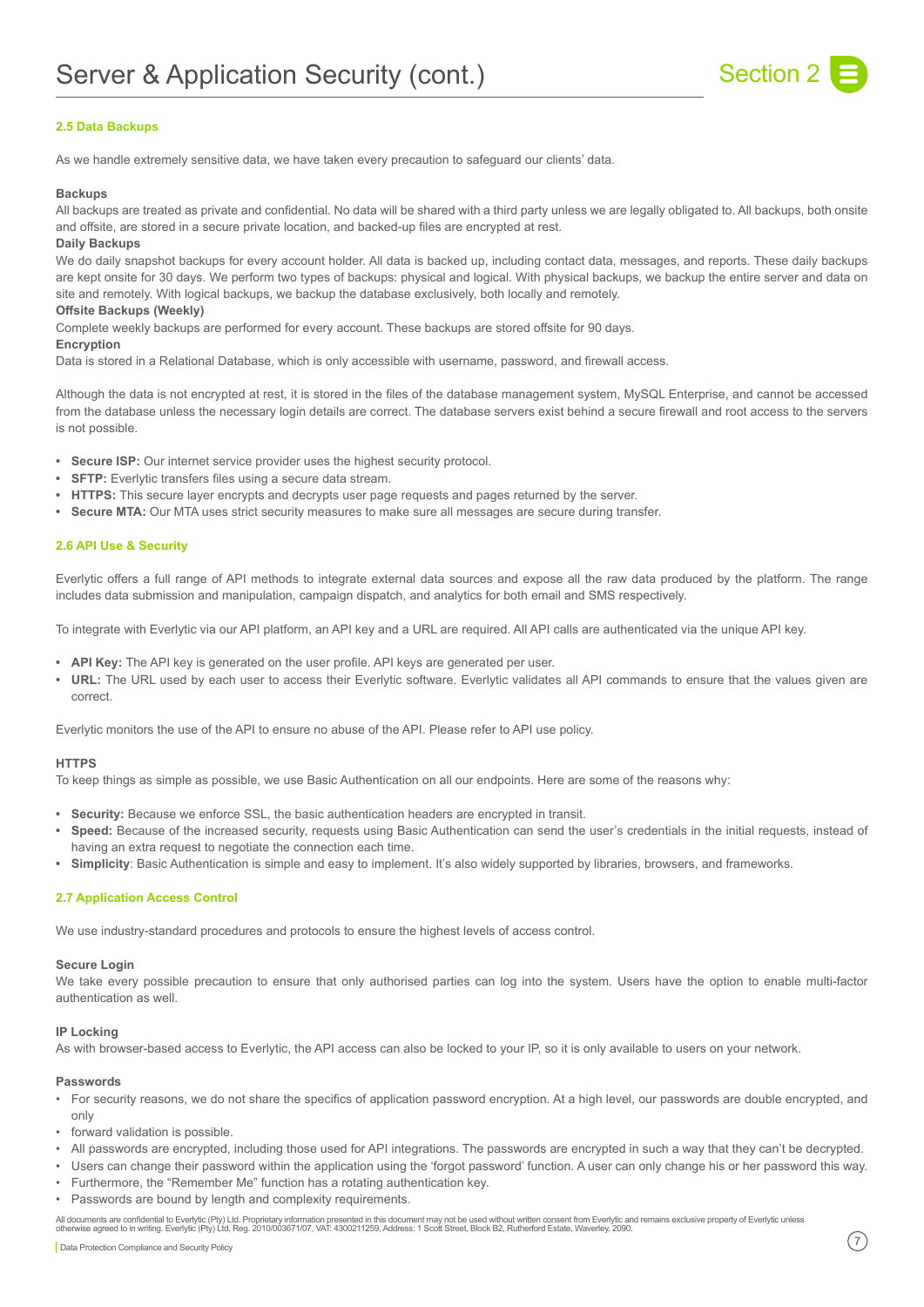

# **2.5 Data Backups**

As we handle extremely sensitive data, we have taken every precaution to safeguard our clients' data.

#### **Backups**

All backups are treated as private and confidential. No data will be shared with a third party unless we are legally obligated to. All backups, both onsite and offsite, are stored in a secure private location, and backed-up files are encrypted at rest.

# **Daily Backups**

We do daily snapshot backups for every account holder. All data is backed up, including contact data, messages, and reports. These daily backups are kept onsite for 30 days. We perform two types of backups: physical and logical. With physical backups, we backup the entire server and data on site and remotely. With logical backups, we backup the database exclusively, both locally and remotely.

# **Offsite Backups (Weekly)**

Complete weekly backups are performed for every account. These backups are stored offsite for 90 days.

#### **Encryption**

Data is stored in a Relational Database, which is only accessible with username, password, and firewall access.

Although the data is not encrypted at rest, it is stored in the files of the database management system, MySQL Enterprise, and cannot be accessed from the database unless the necessary login details are correct. The database servers exist behind a secure firewall and root access to the servers is not possible.

- **• Secure ISP:** Our internet service provider uses the highest security protocol.
- **• SFTP:** Everlytic transfers files using a secure data stream.
- **• HTTPS:** This secure layer encrypts and decrypts user page requests and pages returned by the server.
- **• Secure MTA:** Our MTA uses strict security measures to make sure all messages are secure during transfer.

#### **2.6 API Use & Security**

Everlytic offers a full range of API methods to integrate external data sources and expose all the raw data produced by the platform. The range includes data submission and manipulation, campaign dispatch, and analytics for both email and SMS respectively.

To integrate with Everlytic via our API platform, an API key and a URL are required. All API calls are authenticated via the unique API key.

- **• API Key:** The API key is generated on the user profile. API keys are generated per user.
- **• URL:** The URL used by each user to access their Everlytic software. Everlytic validates all API commands to ensure that the values given are correct.

Everlytic monitors the use of the API to ensure no abuse of the API. Please refer to API use policy.

#### **HTTPS**

To keep things as simple as possible, we use Basic Authentication on all our endpoints. Here are some of the reasons why:

- **• Security:** Because we enforce SSL, the basic authentication headers are encrypted in transit.
- **• Speed:** Because of the increased security, requests using Basic Authentication can send the user's credentials in the initial requests, instead of having an extra request to negotiate the connection each time.
- **• Simplicity**: Basic Authentication is simple and easy to implement. It's also widely supported by libraries, browsers, and frameworks.

#### **2.7 Application Access Control**

We use industry-standard procedures and protocols to ensure the highest levels of access control.

#### **Secure Login**

We take every possible precaution to ensure that only authorised parties can log into the system. Users have the option to enable multi-factor authentication as well.

#### **IP Locking**

As with browser-based access to Everlytic, the API access can also be locked to your IP, so it is only available to users on your network.

#### **Passwords**

- For security reasons, we do not share the specifics of application password encryption. At a high level, our passwords are double encrypted, and only
- forward validation is possible.
- All passwords are encrypted, including those used for API integrations. The passwords are encrypted in such a way that they can't be decrypted.
- Users can change their password within the application using the 'forgot password' function. A user can only change his or her password this way.
- Furthermore, the "Remember Me" function has a rotating authentication key.
- Passwords are bound by length and complexity requirements.

All documents are confidential to Everlytic (Pty) Ltd. Proprietary information presented in this document may not be used without written consent from Everlytic and remains exclusive property of Everlytic unless<br>otherwise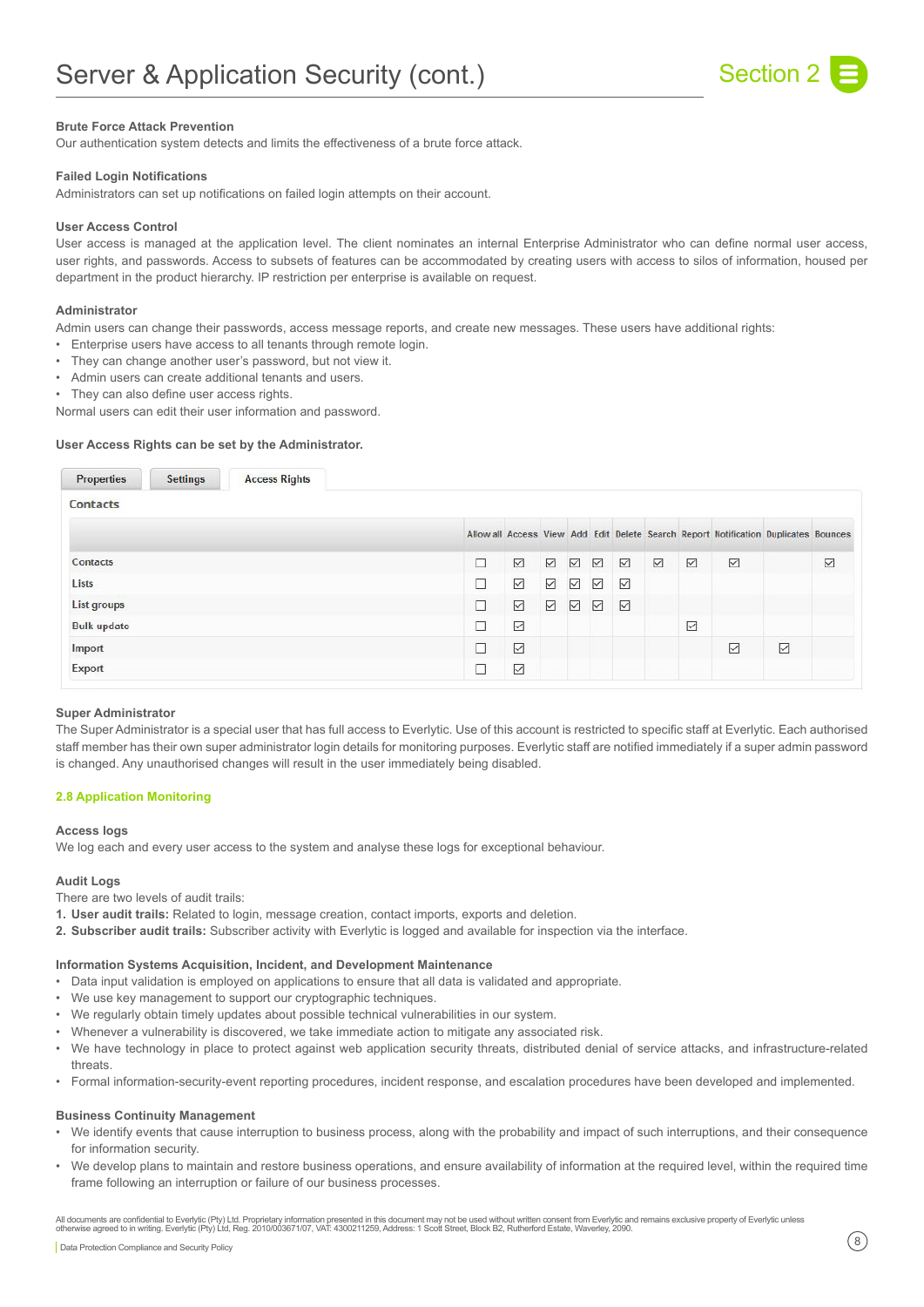

# **Brute Force Attack Prevention**

Our authentication system detects and limits the effectiveness of a brute force attack.

#### **Failed Login Notifications**

Administrators can set up notifications on failed login attempts on their account.

#### **User Access Control**

User access is managed at the application level. The client nominates an internal Enterprise Administrator who can define normal user access, user rights, and passwords. Access to subsets of features can be accommodated by creating users with access to silos of information, housed per department in the product hierarchy. IP restriction per enterprise is available on request.

#### **Administrator**

Admin users can change their passwords, access message reports, and create new messages. These users have additional rights:

- Enterprise users have access to all tenants through remote login.
- They can change another user's password, but not view it.
- Admin users can create additional tenants and users.
- They can also define user access rights.

Normal users can edit their user information and password.

#### **User Access Rights can be set by the Administrator.**

| <b>Properties</b>  | <b>Settings</b> | <b>Access Rights</b> |   |                             |   |                  |   |   |   |   |                                                                                     |   |   |
|--------------------|-----------------|----------------------|---|-----------------------------|---|------------------|---|---|---|---|-------------------------------------------------------------------------------------|---|---|
| <b>Contacts</b>    |                 |                      |   |                             |   |                  |   |   |   |   |                                                                                     |   |   |
|                    |                 |                      |   |                             |   |                  |   |   |   |   | Allow all Access View Add Edit Delete Search Report Notification Duplicates Bounces |   |   |
| Contacts           |                 |                      | □ | ☑                           | ☑ | ☑                | ☑ | ☑ | ☑ | ☑ | ☑                                                                                   |   | ☑ |
| Lists              |                 |                      | L | ☑                           | ☑ | $\triangleright$ | ☑ | ☑ |   |   |                                                                                     |   |   |
| List groups        |                 |                      | Ξ | $\color{red}\triangleright$ | ☑ | ☑                | ☑ | ☑ |   |   |                                                                                     |   |   |
| <b>Bulk update</b> |                 |                      | □ | $\triangleright$            |   |                  |   |   |   | ☑ |                                                                                     |   |   |
| Import             |                 |                      |   | ☑                           |   |                  |   |   |   |   | $\triangledown$                                                                     | ☑ |   |
| Export             |                 |                      |   | $\triangledown$             |   |                  |   |   |   |   |                                                                                     |   |   |

#### **Super Administrator**

The Super Administrator is a special user that has full access to Everlytic. Use of this account is restricted to specific staff at Everlytic. Each authorised staff member has their own super administrator login details for monitoring purposes. Everlytic staff are notified immediately if a super admin password is changed. Any unauthorised changes will result in the user immediately being disabled.

#### **2.8 Application Monitoring**

#### **Access logs**

We log each and every user access to the system and analyse these logs for exceptional behaviour.

#### **Audit Logs**

There are two levels of audit trails:

- **1. User audit trails:** Related to login, message creation, contact imports, exports and deletion.
- **2. Subscriber audit trails:** Subscriber activity with Everlytic is logged and available for inspection via the interface.

#### **Information Systems Acquisition, Incident, and Development Maintenance**

- Data input validation is employed on applications to ensure that all data is validated and appropriate.
- We use key management to support our cryptographic techniques.
- We regularly obtain timely updates about possible technical vulnerabilities in our system.
- Whenever a vulnerability is discovered, we take immediate action to mitigate any associated risk.
- We have technology in place to protect against web application security threats, distributed denial of service attacks, and infrastructure-related threats.
- Formal information-security-event reporting procedures, incident response, and escalation procedures have been developed and implemented.

# **Business Continuity Management**

- We identify events that cause interruption to business process, along with the probability and impact of such interruptions, and their consequence for information security.
- We develop plans to maintain and restore business operations, and ensure availability of information at the required level, within the required time frame following an interruption or failure of our business processes.

All documents are confidential to Everlytic (Pty) Ltd. Proprietary information presented in this document may not be used without written consent from Everlytic and remains exclusive property of Everlytic unless<br>otherwise  $\boxed{ \text{Data Protection Compliance and Security Policy } }$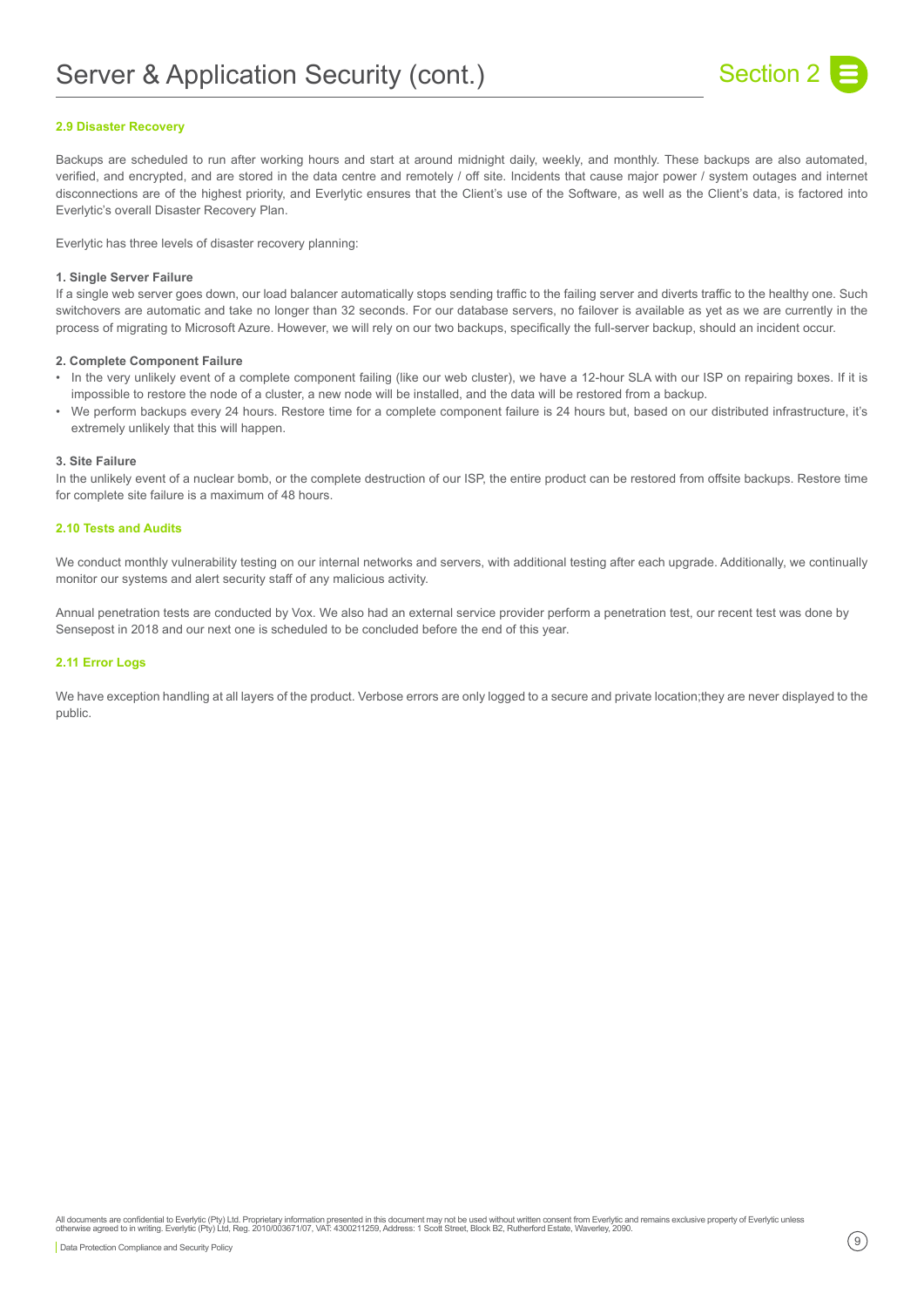

# **2.9 Disaster Recovery**

Backups are scheduled to run after working hours and start at around midnight daily, weekly, and monthly. These backups are also automated, verified, and encrypted, and are stored in the data centre and remotely / off site. Incidents that cause major power / system outages and internet disconnections are of the highest priority, and Everlytic ensures that the Client's use of the Software, as well as the Client's data, is factored into Everlytic's overall Disaster Recovery Plan.

Everlytic has three levels of disaster recovery planning:

#### **1. Single Server Failure**

If a single web server goes down, our load balancer automatically stops sending traffic to the failing server and diverts traffic to the healthy one. Such switchovers are automatic and take no longer than 32 seconds. For our database servers, no failover is available as yet as we are currently in the process of migrating to Microsoft Azure. However, we will rely on our two backups, specifically the full-server backup, should an incident occur.

#### **2. Complete Component Failure**

- In the very unlikely event of a complete component failing (like our web cluster), we have a 12-hour SLA with our ISP on repairing boxes. If it is impossible to restore the node of a cluster, a new node will be installed, and the data will be restored from a backup.
- We perform backups every 24 hours. Restore time for a complete component failure is 24 hours but, based on our distributed infrastructure, it's extremely unlikely that this will happen.

#### **3. Site Failure**

In the unlikely event of a nuclear bomb, or the complete destruction of our ISP, the entire product can be restored from offsite backups. Restore time for complete site failure is a maximum of 48 hours.

#### **2.10 Tests and Audits**

We conduct monthly vulnerability testing on our internal networks and servers, with additional testing after each upgrade. Additionally, we continually monitor our systems and alert security staff of any malicious activity.

Annual penetration tests are conducted by Vox. We also had an external service provider perform a penetration test, our recent test was done by Sensepost in 2018 and our next one is scheduled to be concluded before the end of this year.

#### **2.11 Error Logs**

We have exception handling at all layers of the product. Verbose errors are only logged to a secure and private location;they are never displayed to the public.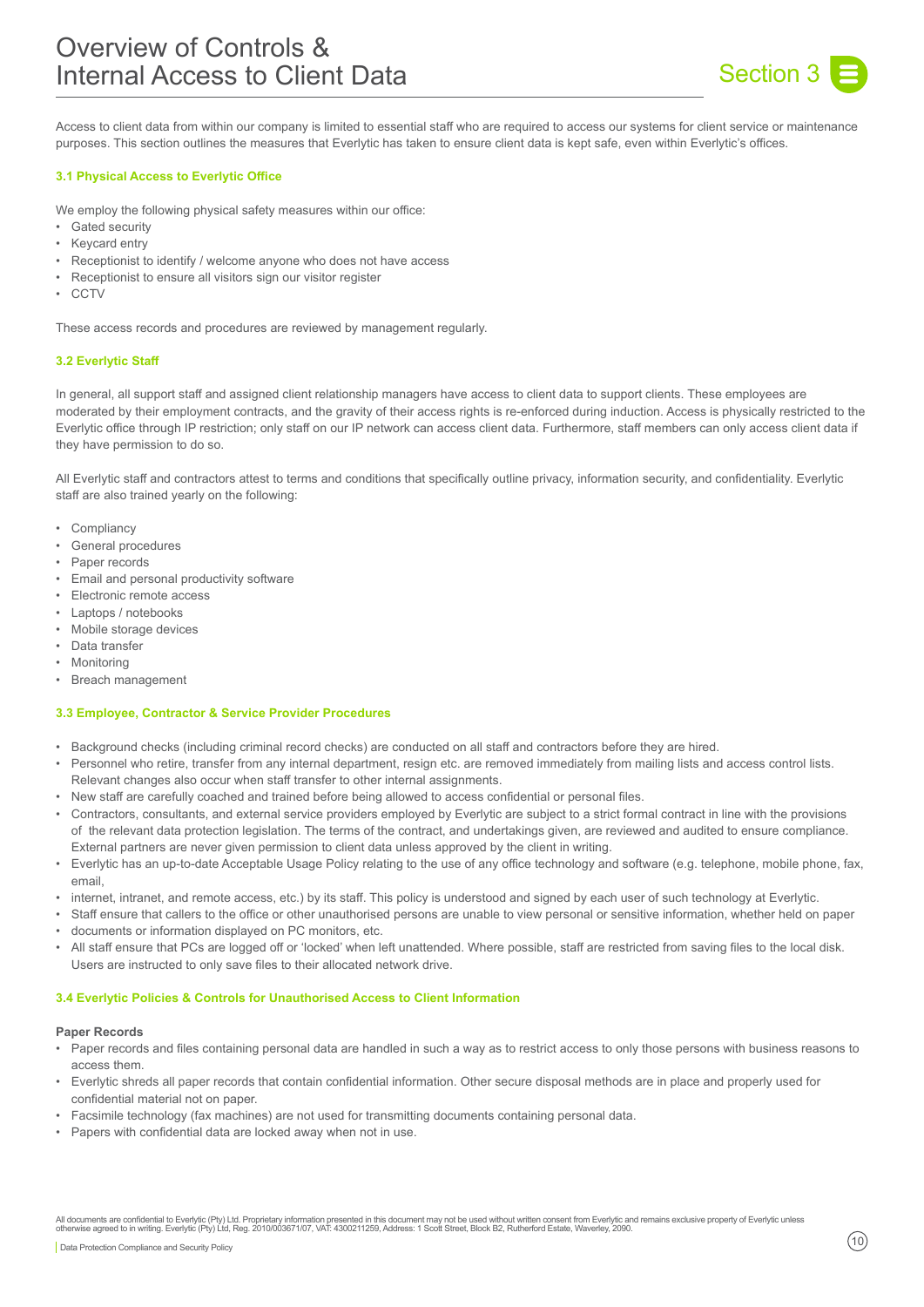

Access to client data from within our company is limited to essential staff who are required to access our systems for client service or maintenance purposes. This section outlines the measures that Everlytic has taken to ensure client data is kept safe, even within Everlytic's offices.

# **3.1 Physical Access to Everlytic Office**

We employ the following physical safety measures within our office:

- Gated security
- **Keycard entry**
- Receptionist to identify / welcome anyone who does not have access
- Receptionist to ensure all visitors sign our visitor register
- CCTV

These access records and procedures are reviewed by management regularly.

# **3.2 Everlytic Staff**

In general, all support staff and assigned client relationship managers have access to client data to support clients. These employees are moderated by their employment contracts, and the gravity of their access rights is re-enforced during induction. Access is physically restricted to the Everlytic office through IP restriction; only staff on our IP network can access client data. Furthermore, staff members can only access client data if they have permission to do so.

All Everlytic staff and contractors attest to terms and conditions that specifically outline privacy, information security, and confidentiality. Everlytic staff are also trained yearly on the following:

- Compliancy
- General procedures
- Paper records
- Email and personal productivity software
- Electronic remote access
- Laptops / notebooks
- Mobile storage devices
- Data transfer
- **Monitoring**
- Breach management

### **3.3 Employee, Contractor & Service Provider Procedures**

- Background checks (including criminal record checks) are conducted on all staff and contractors before they are hired.
- Personnel who retire, transfer from any internal department, resign etc. are removed immediately from mailing lists and access control lists. Relevant changes also occur when staff transfer to other internal assignments.
- New staff are carefully coached and trained before being allowed to access confidential or personal files.
- Contractors, consultants, and external service providers employed by Everlytic are subject to a strict formal contract in line with the provisions of the relevant data protection legislation. The terms of the contract, and undertakings given, are reviewed and audited to ensure compliance. External partners are never given permission to client data unless approved by the client in writing.
- Everlytic has an up-to-date Acceptable Usage Policy relating to the use of any office technology and software (e.g. telephone, mobile phone, fax, email
- internet, intranet, and remote access, etc.) by its staff. This policy is understood and signed by each user of such technology at Everlytic.
- Staff ensure that callers to the office or other unauthorised persons are unable to view personal or sensitive information, whether held on paper • documents or information displayed on PC monitors, etc.
- All staff ensure that PCs are logged off or 'locked' when left unattended. Where possible, staff are restricted from saving files to the local disk. Users are instructed to only save files to their allocated network drive.

#### **3.4 Everlytic Policies & Controls for Unauthorised Access to Client Information**

#### **Paper Records**

- Paper records and files containing personal data are handled in such a way as to restrict access to only those persons with business reasons to access them.
- Everlytic shreds all paper records that contain confidential information. Other secure disposal methods are in place and properly used for confidential material not on paper.
- Facsimile technology (fax machines) are not used for transmitting documents containing personal data.
- Papers with confidential data are locked away when not in use.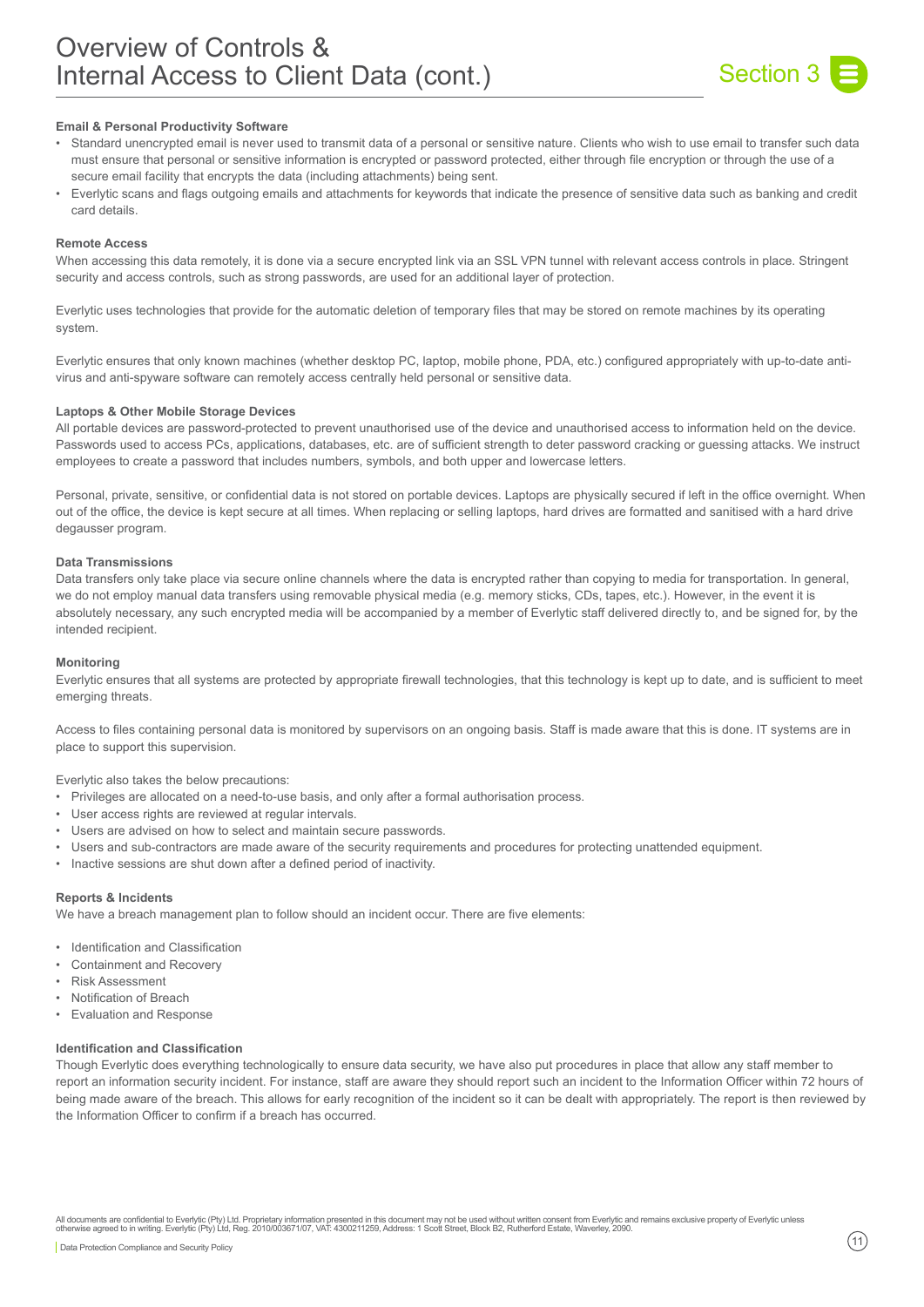

# **Email & Personal Productivity Software**

- Standard unencrypted email is never used to transmit data of a personal or sensitive nature. Clients who wish to use email to transfer such data must ensure that personal or sensitive information is encrypted or password protected, either through file encryption or through the use of a secure email facility that encrypts the data (including attachments) being sent.
- Everlytic scans and flags outgoing emails and attachments for keywords that indicate the presence of sensitive data such as banking and credit card details.

#### **Remote Access**

When accessing this data remotely, it is done via a secure encrypted link via an SSL VPN tunnel with relevant access controls in place. Stringent security and access controls, such as strong passwords, are used for an additional layer of protection.

Everlytic uses technologies that provide for the automatic deletion of temporary files that may be stored on remote machines by its operating system.

Everlytic ensures that only known machines (whether desktop PC, laptop, mobile phone, PDA, etc.) configured appropriately with up-to-date antivirus and anti-spyware software can remotely access centrally held personal or sensitive data.

#### **Laptops & Other Mobile Storage Devices**

All portable devices are password-protected to prevent unauthorised use of the device and unauthorised access to information held on the device. Passwords used to access PCs, applications, databases, etc. are of sufficient strength to deter password cracking or guessing attacks. We instruct employees to create a password that includes numbers, symbols, and both upper and lowercase letters.

Personal, private, sensitive, or confidential data is not stored on portable devices. Laptops are physically secured if left in the office overnight. When out of the office, the device is kept secure at all times. When replacing or selling laptops, hard drives are formatted and sanitised with a hard drive degausser program.

#### **Data Transmissions**

Data transfers only take place via secure online channels where the data is encrypted rather than copying to media for transportation. In general, we do not employ manual data transfers using removable physical media (e.g. memory sticks, CDs, tapes, etc.). However, in the event it is absolutely necessary, any such encrypted media will be accompanied by a member of Everlytic staff delivered directly to, and be signed for, by the intended recipient.

#### **Monitoring**

Everlytic ensures that all systems are protected by appropriate firewall technologies, that this technology is kept up to date, and is sufficient to meet emerging threats.

Access to files containing personal data is monitored by supervisors on an ongoing basis. Staff is made aware that this is done. IT systems are in place to support this supervision.

Everlytic also takes the below precautions:

- Privileges are allocated on a need-to-use basis, and only after a formal authorisation process.
- User access rights are reviewed at regular intervals.
- Users are advised on how to select and maintain secure passwords.
- Users and sub-contractors are made aware of the security requirements and procedures for protecting unattended equipment.
- Inactive sessions are shut down after a defined period of inactivity.

#### **Reports & Incidents**

We have a breach management plan to follow should an incident occur. There are five elements:

- Identification and Classification
- Containment and Recovery
- Risk Assessment
- Notification of Breach
- Evaluation and Response

#### **Identification and Classification**

Though Everlytic does everything technologically to ensure data security, we have also put procedures in place that allow any staff member to report an information security incident. For instance, staff are aware they should report such an incident to the Information Officer within 72 hours of being made aware of the breach. This allows for early recognition of the incident so it can be dealt with appropriately. The report is then reviewed by the Information Officer to confirm if a breach has occurred.